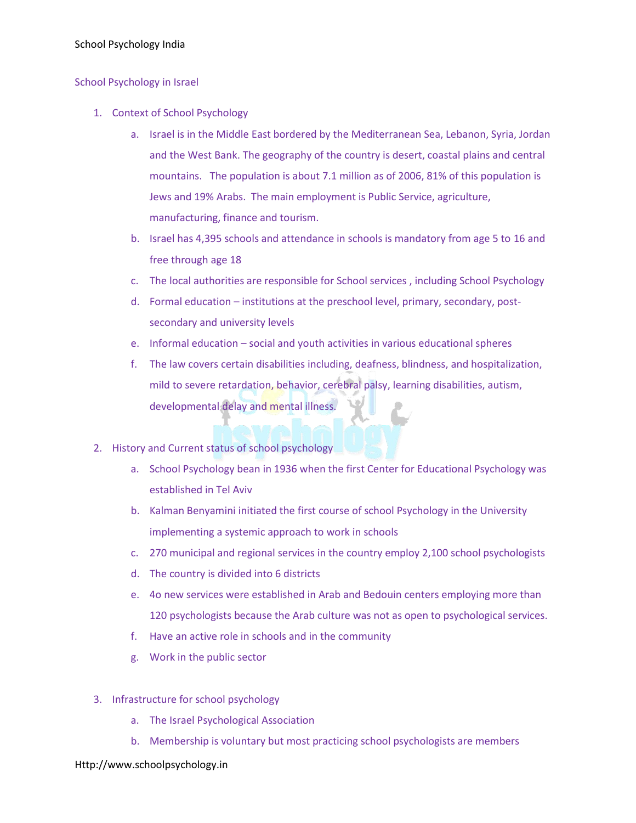## School Psychology India

## School Psychology in Israel

- 1. Context of School Psychology
	- a. Israel is in the Middle East bordered by the Mediterranean Sea, Lebanon, Syria, Jordan and the West Bank. The geography of the country is desert, coastal plains and central mountains. The population is about 7.1 million as of 2006, 81% of this population is Jews and 19% Arabs. The main employment is Public Service, agriculture, manufacturing, finance and tourism.
	- b. Israel has 4,395 schools and attendance in schools is mandatory from age 5 to 16 and free through age 18
	- c. The local authorities are responsible for School services , including School Psychology
	- d. Formal education institutions at the preschool level, primary, secondary, postsecondary and university levels
	- e. Informal education social and youth activities in various educational spheres
	- f. The law covers certain disabilities including, deafness, blindness, and hospitalization, mild to severe retardation, behavior, cerebral palsy, learning disabilities, autism, developmental delay and mental illness.
- 2. History and Current status of school psychology
	- a. School Psychology bean in 1936 when the first Center for Educational Psychology was established in Tel Aviv
	- b. Kalman Benyamini initiated the first course of school Psychology in the University implementing a systemic approach to work in schools
	- c. 270 municipal and regional services in the country employ 2,100 school psychologists
	- d. The country is divided into 6 districts
	- e. 4o new services were established in Arab and Bedouin centers employing more than 120 psychologists because the Arab culture was not as open to psychological services.
	- f. Have an active role in schools and in the community
	- g. Work in the public sector
- 3. Infrastructure for school psychology
	- a. The Israel Psychological Association
	- b. Membership is voluntary but most practicing school psychologists are members

## Http://www.schoolpsychology.in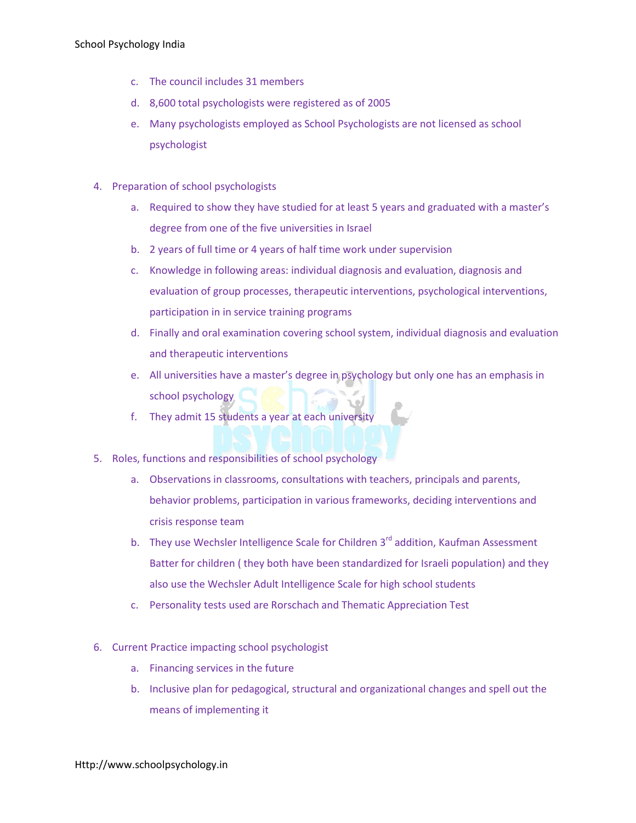- c. The council includes 31 members
- d. 8,600 total psychologists were registered as of 2005
- e. Many psychologists employed as School Psychologists are not licensed as school psychologist
- 4. Preparation of school psychologists
	- a. Required to show they have studied for at least 5 years and graduated with a master's degree from one of the five universities in Israel
	- b. 2 years of full time or 4 years of half time work under supervision
	- c. Knowledge in following areas: individual diagnosis and evaluation, diagnosis and evaluation of group processes, therapeutic interventions, psychological interventions, participation in in service training programs
	- d. Finally and oral examination covering school system, individual diagnosis and evaluation and therapeutic interventions
	- e. All universities have a master's degree in psychology but only one has an emphasis in school psychology
	- f. They admit 15 students a year at each university
- 5. Roles, functions and responsibilities of school psychology
	- a. Observations in classrooms, consultations with teachers, principals and parents, behavior problems, participation in various frameworks, deciding interventions and crisis response team
	- b. They use Wechsler Intelligence Scale for Children  $3<sup>rd</sup>$  addition, Kaufman Assessment Batter for children ( they both have been standardized for Israeli population) and they also use the Wechsler Adult Intelligence Scale for high school students
	- c. Personality tests used are Rorschach and Thematic Appreciation Test
- 6. Current Practice impacting school psychologist
	- a. Financing services in the future
	- b. Inclusive plan for pedagogical, structural and organizational changes and spell out the means of implementing it